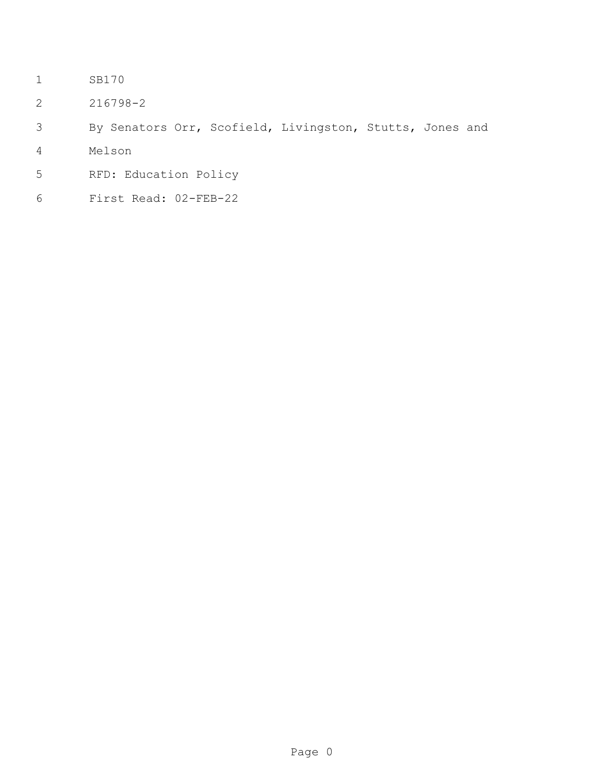- SB170
- 216798-2

```
3 By Senators Orr, Scofield, Livingston, Stutts, Jones and
```
- Melson
- RFD: Education Policy
- First Read: 02-FEB-22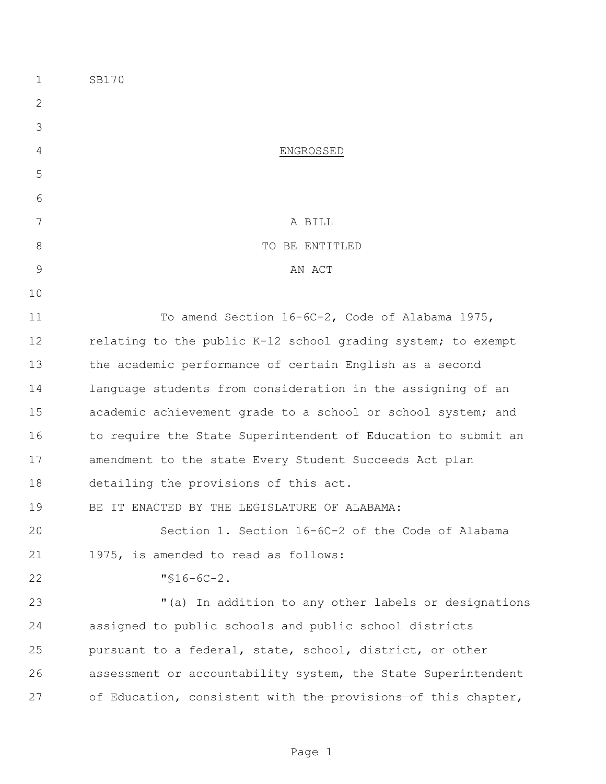| $\mathbf 1$   | SB170                                                         |
|---------------|---------------------------------------------------------------|
| 2             |                                                               |
| 3             |                                                               |
| 4             | ENGROSSED                                                     |
| 5             |                                                               |
| 6             |                                                               |
| 7             | A BILL                                                        |
| $8\,$         | TO BE ENTITLED                                                |
| $\mathcal{G}$ | AN ACT                                                        |
| 10            |                                                               |
| 11            | To amend Section 16-6C-2, Code of Alabama 1975,               |
| 12            | relating to the public K-12 school grading system; to exempt  |
| 13            | the academic performance of certain English as a second       |
| 14            | language students from consideration in the assigning of an   |
| 15            | academic achievement grade to a school or school system; and  |
| 16            | to require the State Superintendent of Education to submit an |
| 17            | amendment to the state Every Student Succeeds Act plan        |
| 18            | detailing the provisions of this act.                         |
| 19            | BE IT ENACTED BY THE LEGISLATURE OF ALABAMA:                  |
| 20            | Section 1. Section 16-6C-2 of the Code of Alabama             |
| 21            | 1975, is amended to read as follows:                          |
| 22            | $"$ \$16-6C-2.                                                |
| 23            | "(a) In addition to any other labels or designations          |
| 24            | assigned to public schools and public school districts        |
| 25            | pursuant to a federal, state, school, district, or other      |
| 26            | assessment or accountability system, the State Superintendent |
| 27            | of Education, consistent with the provisions of this chapter, |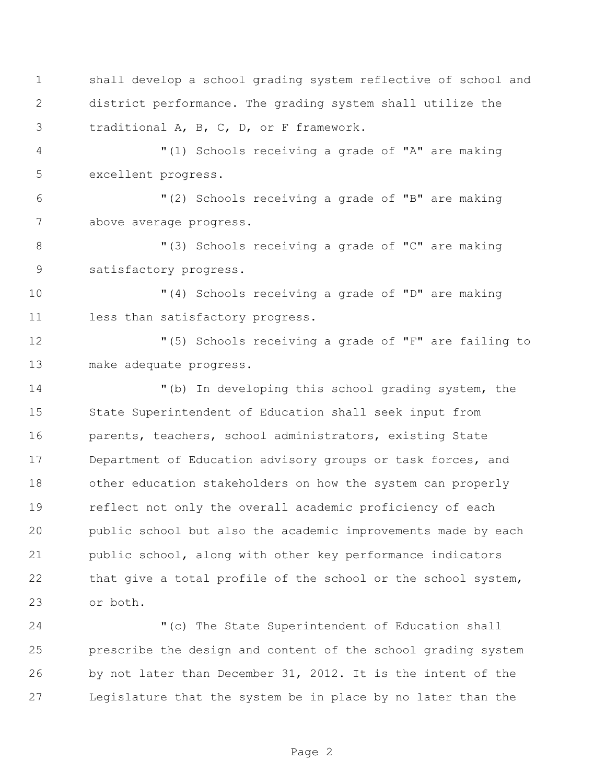shall develop a school grading system reflective of school and district performance. The grading system shall utilize the traditional A, B, C, D, or F framework.

 "(1) Schools receiving a grade of "A" are making excellent progress.

 "(2) Schools receiving a grade of "B" are making above average progress.

8 "(3) Schools receiving a grade of "C" are making satisfactory progress.

 "(4) Schools receiving a grade of "D" are making 11 less than satisfactory progress.

 "(5) Schools receiving a grade of "F" are failing to make adequate progress.

 "(b) In developing this school grading system, the State Superintendent of Education shall seek input from parents, teachers, school administrators, existing State Department of Education advisory groups or task forces, and other education stakeholders on how the system can properly reflect not only the overall academic proficiency of each public school but also the academic improvements made by each public school, along with other key performance indicators 22 that give a total profile of the school or the school system, or both.

 "(c) The State Superintendent of Education shall prescribe the design and content of the school grading system by not later than December 31, 2012. It is the intent of the Legislature that the system be in place by no later than the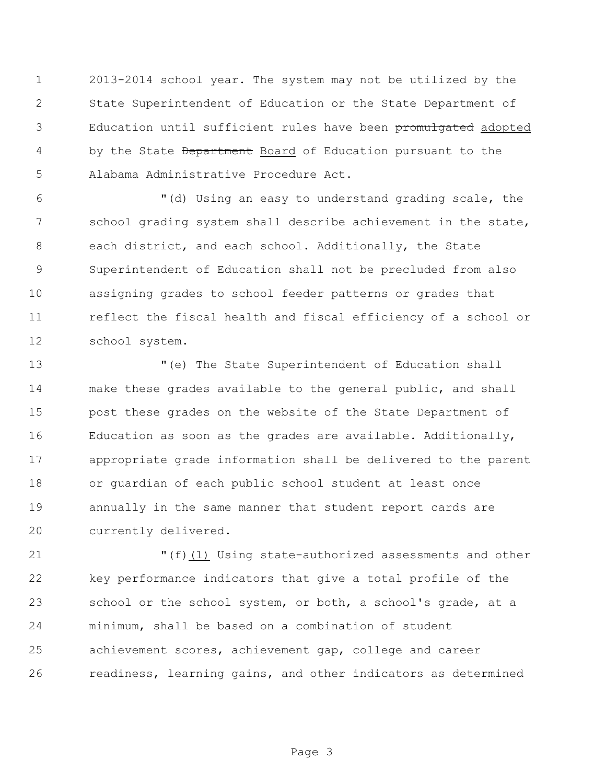2013-2014 school year. The system may not be utilized by the State Superintendent of Education or the State Department of Education until sufficient rules have been promulgated adopted 4 by the State Department Board of Education pursuant to the Alabama Administrative Procedure Act.

 "(d) Using an easy to understand grading scale, the 7 school grading system shall describe achievement in the state, each district, and each school. Additionally, the State Superintendent of Education shall not be precluded from also assigning grades to school feeder patterns or grades that reflect the fiscal health and fiscal efficiency of a school or school system.

 "(e) The State Superintendent of Education shall make these grades available to the general public, and shall post these grades on the website of the State Department of Education as soon as the grades are available. Additionally, appropriate grade information shall be delivered to the parent or guardian of each public school student at least once annually in the same manner that student report cards are currently delivered.

 "(f)(1) Using state-authorized assessments and other key performance indicators that give a total profile of the 23 school or the school system, or both, a school's grade, at a minimum, shall be based on a combination of student achievement scores, achievement gap, college and career readiness, learning gains, and other indicators as determined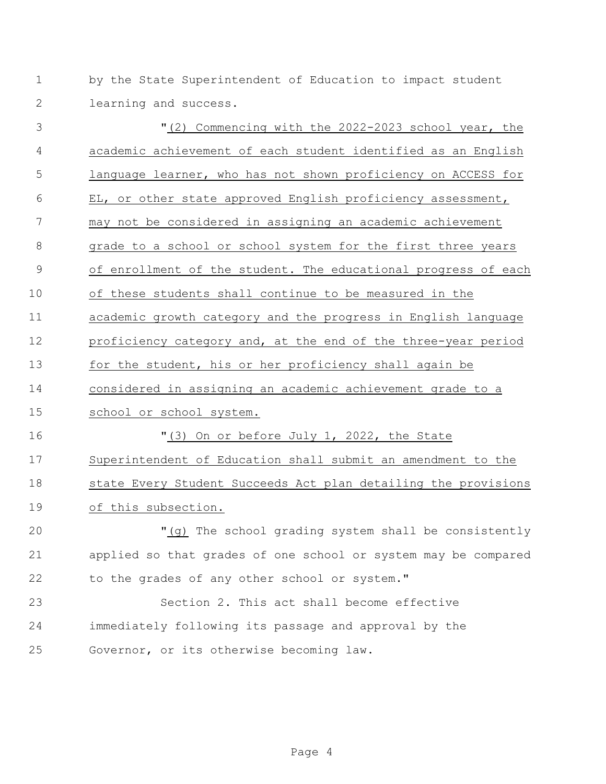by the State Superintendent of Education to impact student learning and success.

 "(2) Commencing with the 2022-2023 school year, the academic achievement of each student identified as an English language learner, who has not shown proficiency on ACCESS for EL, or other state approved English proficiency assessment, may not be considered in assigning an academic achievement grade to a school or school system for the first three years of enrollment of the student. The educational progress of each of these students shall continue to be measured in the academic growth category and the progress in English language proficiency category and, at the end of the three-year period 13 for the student, his or her proficiency shall again be considered in assigning an academic achievement grade to a school or school system. "(3) On or before July 1, 2022, the State Superintendent of Education shall submit an amendment to the 18 state Every Student Succeeds Act plan detailing the provisions of this subsection. "(g) The school grading system shall be consistently applied so that grades of one school or system may be compared to the grades of any other school or system." Section 2. This act shall become effective immediately following its passage and approval by the

Governor, or its otherwise becoming law.